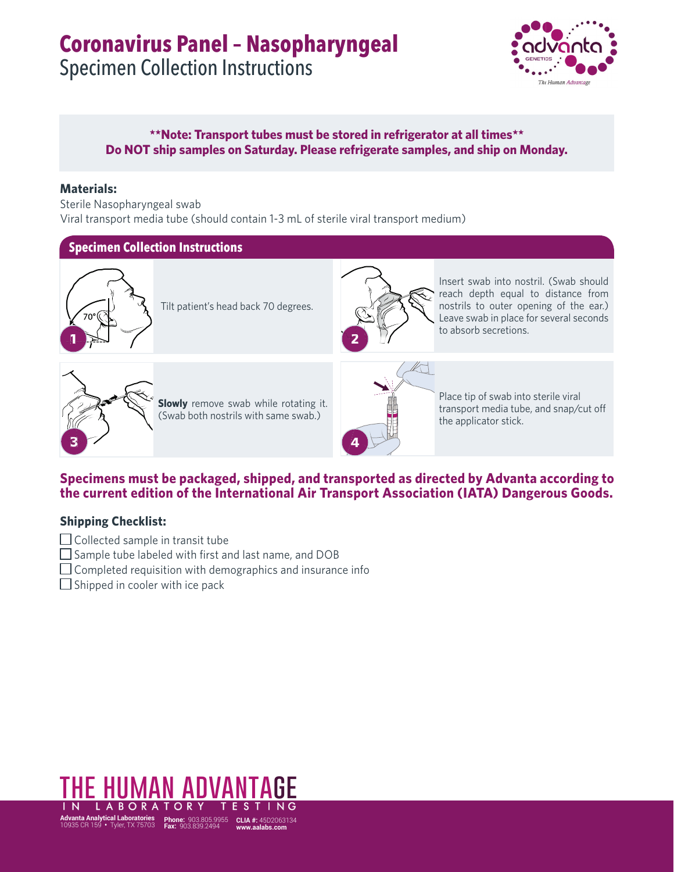## **Coronavirus Panel – Nasopharyngeal**

Specimen Collection Instructions



#### **\*\*Note: Transport tubes must be stored in refrigerator at all times\*\* Do NOT ship samples on Saturday. Please refrigerate samples, and ship on Monday.**

#### **Materials:**

Sterile Nasopharyngeal swab Viral transport media tube (should contain 1-3 mL of sterile viral transport medium)

#### **Specimen Collection Instructions**



Tilt patient's head back 70 degrees.



Insert swab into nostril. (Swab should reach depth equal to distance from nostrils to outer opening of the ear.) Leave swab in place for several seconds to absorb secretions.



**Slowly** remove swab while rotating it. (Swab both nostrils with same swab.)



Place tip of swab into sterile viral transport media tube, and snap/cut off the applicator stick.

#### **Specimens must be packaged, shipped, and transported as directed by Advanta according to the current edition of the International Air Transport Association (IATA) Dangerous Goods.**

#### **Shipping Checklist:**

- $\Box$  Collected sample in transit tube
- $\Box$  Sample tube labeled with first and last name, and DOB
- $\Box$  Completed requisition with demographics and insurance info
- $\Box$  Shipped in cooler with ice pack

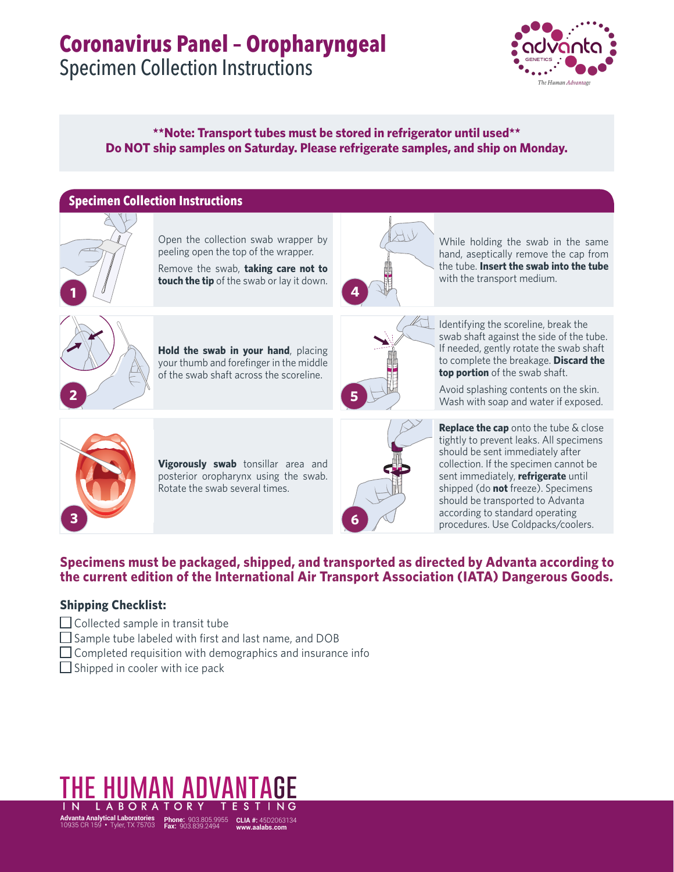# **Coronavirus Panel – Oropharyngeal**

Specimen Collection Instructions



#### **\*\*Note: Transport tubes must be stored in refrigerator until used\*\* Do NOT ship samples on Saturday. Please refrigerate samples, and ship on Monday.**

## **Specimen Collection Instructions** Open the collection swab wrapper by peeling open the top of the wrapper. Remove the swab, **taking care not to touch the tip** of the swab or lay it down. **Hold the swab in your hand**, placing your thumb and forefinger in the middle of the swab shaft across the scoreline. **5 4**

While holding the swab in the same hand, aseptically remove the cap from the tube. **Insert the swab into the tube** with the transport medium.

**2**

**1**



Identifying the scoreline, break the swab shaft against the side of the tube. If needed, gently rotate the swab shaft to complete the breakage. **Discard the top portion** of the swab shaft.

Avoid splashing contents on the skin. Wash with soap and water if exposed.



**Vigorously swab** tonsillar area and posterior oropharynx using the swab. Rotate the swab several times.



**Replace the cap** onto the tube & close tightly to prevent leaks. All specimens should be sent immediately after collection. If the specimen cannot be sent immediately, **refrigerate** until shipped (do **not** freeze). Specimens should be transported to Advanta according to standard operating procedures. Use Coldpacks/coolers.

#### **Specimens must be packaged, shipped, and transported as directed by Advanta according to the current edition of the International Air Transport Association (IATA) Dangerous Goods.**

#### **Shipping Checklist:**

- $\Box$  Collected sample in transit tube
- $\Box$  Sample tube labeled with first and last name, and DOB
- $\Box$  Completed requisition with demographics and insurance info
- $\Box$  Shipped in cooler with ice pack

### **the human advantage**  LABORATOR

**Advanta Analytical Laboratories** 10935 CR 159 **•** Tyler, TX 75703 **Phone:** 903.805.9955 **Fax:** 903.839.2494 **CLIA #:** 45D2063134 **www.aalabs.com**